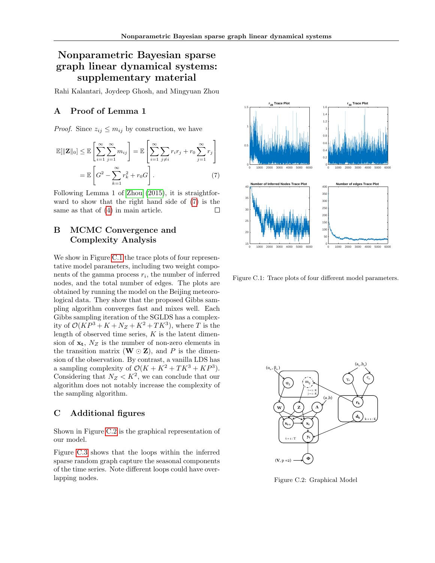## Nonparametric Bayesian sparse graph linear dynamical systems: supplementary material

Rahi Kalantari, Joydeep Ghosh, and Mingyuan Zhou

## A Proof of Lemma 1

*Proof.* Since  $z_{ij} \leq m_{ij}$  by construction, we have

$$
\mathbb{E}[\|\mathbf{Z}\|_0] \leq \mathbb{E}\left[\sum_{i=1}^{\infty} \sum_{j=1}^{\infty} m_{ij}\right] = \mathbb{E}\left[\sum_{i=1}^{\infty} \sum_{j\neq i} r_i r_j + r_0 \sum_{j=1}^{\infty} r_j\right]
$$

$$
= \mathbb{E}\left[G^2 - \sum_{k=1}^{\infty} r_k^2 + r_0 G\right].
$$
(7)

Following Lemma 1 of [Zhou \(2015\)](#page--1-0), it is straightforward to show that the right hand side of [\(7\)](#page-0-0) is the same as that of [\(4\)](#page--1-1) in main article.  $\Box$ 

## B MCMC Convergence and Complexity Analysis

We show in Figure [C.1](#page-0-1) the trace plots of four representative model parameters, including two weight components of the gamma process  $r_i$ , the number of inferred nodes, and the total number of edges. The plots are obtained by running the model on the Beijing meteorological data. They show that the proposed Gibbs sampling algorithm converges fast and mixes well. Each Gibbs sampling iteration of the SGLDS has a complexity of  $\mathcal{O}(KP^3 + K + N_Z + K^2 + TK^3)$ , where T is the length of observed time series,  $K$  is the latent dimension of  $x_t$ ,  $N_Z$  is the number of non-zero elements in the transition matrix  $(W \odot Z)$ , and P is the dimension of the observation. By contrast, a vanilla LDS has a sampling complexity of  $\mathcal{O}(K + K^2 + TK^3 + KP^3)$ . Considering that  $N_Z < K^2$ , we can conclude that our algorithm does not notably increase the complexity of the sampling algorithm.

## C Additional figures

Shown in Figure [C.2](#page-0-2) is the graphical representation of our model.

Figure [C.3](#page-1-0) shows that the loops within the inferred sparse random graph capture the seasonal components of the time series. Note different loops could have overlapping nodes.

<span id="page-0-1"></span><span id="page-0-0"></span>

Figure C.1: Trace plots of four different model parameters.

<span id="page-0-2"></span>

Figure C.2: Graphical Model